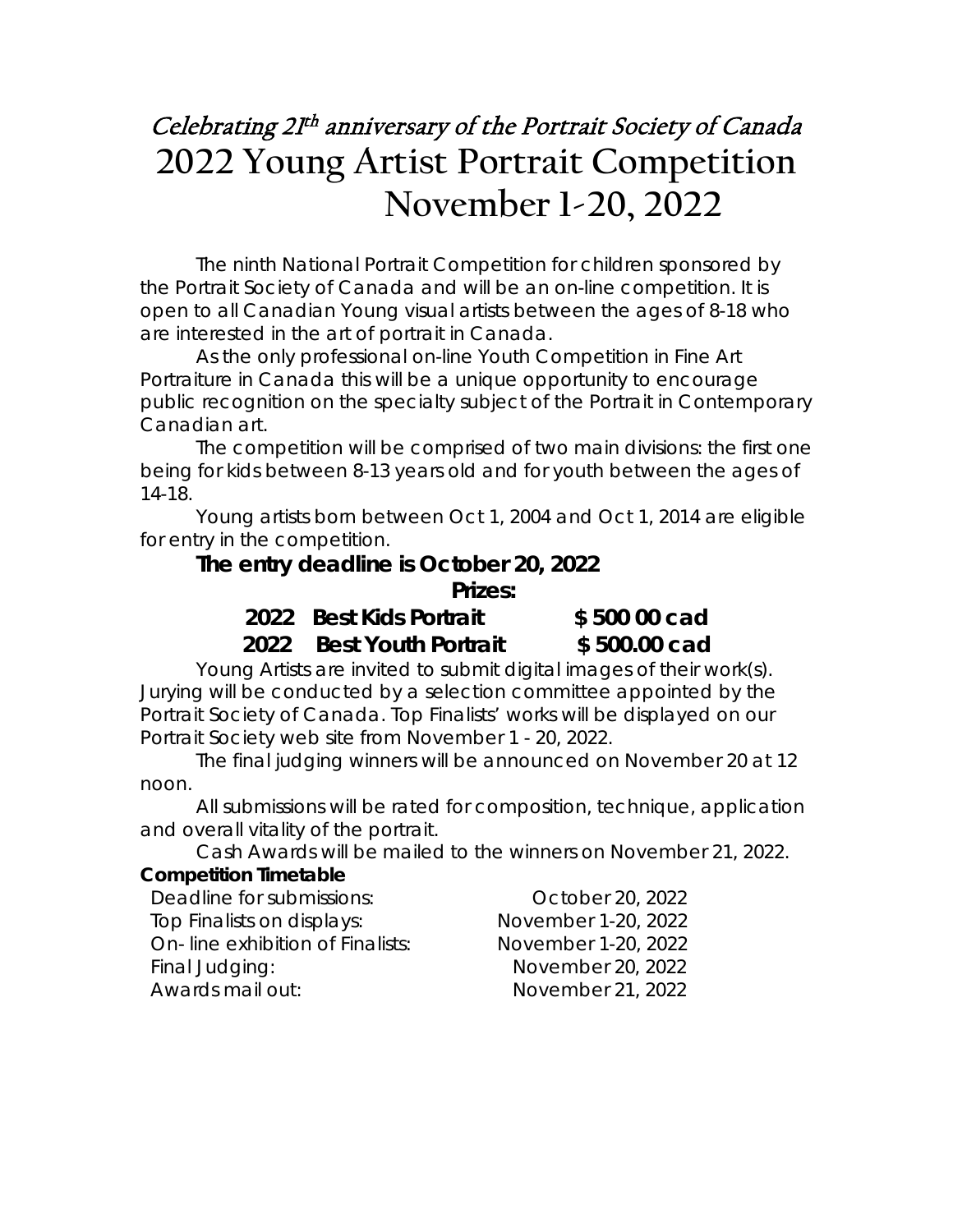## Celebrating 2I<sup>th</sup> anniversary of the Portrait Society of Canada **2022 Young Artist Portrait Competition November 1-20, 2022**

The ninth National Portrait Competition for children sponsored by the Portrait Society of Canada and will be an on-line competition. It is open to all Canadian Young visual artists between the ages of 8-18 who are interested in the art of portrait in Canada.

As the only professional on-line Youth Competition in Fine Art Portraiture in Canada this will be a unique opportunity to encourage public recognition on the specialty subject of the Portrait in Contemporary Canadian art.

The competition will be comprised of two main divisions: the first one being for kids between 8-13 years old and for youth between the ages of 14-18.

Young artists born between Oct 1, 2004 and Oct 1, 2014 are eligible for entry in the competition.

#### **The entry deadline is October 20, 2022**

 *Prizes:* 

*2022 Best Kids Portrait \$ 500 00 cad 2022 Best Youth Portrait \$ 500.00 cad*

Young Artists are invited to submit digital images of their work(s). Jurying will be conducted by a selection committee appointed by the Portrait Society of Canada. Top Finalists' works will be displayed on our Portrait Society web site from November 1 - 20, 2022.

The final judging winners will be announced on November 20 at 12 noon.

All submissions will be rated for composition, technique, application and overall vitality of the portrait.

Cash Awards will be mailed to the winners on November 21, 2022.

#### **Competition Timetable**

| Deadline for submissions:        | October 20, 2022    |
|----------------------------------|---------------------|
| Top Finalists on displays:       | November 1-20, 2022 |
| On-line exhibition of Finalists: | November 1-20, 2022 |
| Final Judging:                   | November 20, 2022   |
| Awards mail out:                 | November 21, 2022   |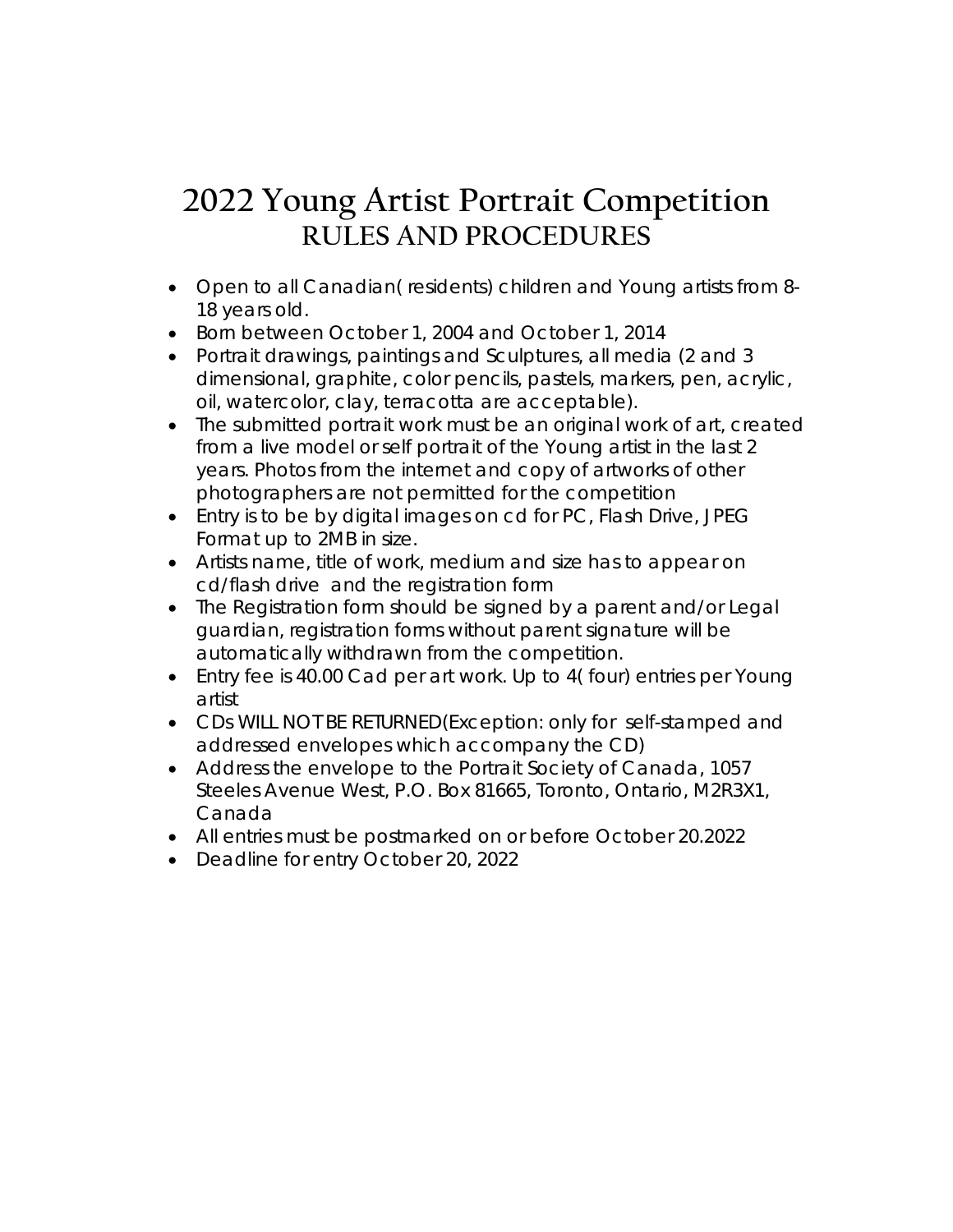### **2022 Young Artist Portrait Competition RULES AND PROCEDURES**

- Open to all Canadian( residents) children and Young artists from 8- 18 years old.
- Born between October 1, 2004 and October 1, 2014
- Portrait drawings, paintings and Sculptures, all media (2 and 3 dimensional, graphite, color pencils, pastels, markers, pen, acrylic, oil, watercolor, clay, terracotta are acceptable).
- The submitted portrait work must be an original work of art, created from a live model or self portrait of the Young artist in the last 2 years. Photos from the internet and copy of artworks of other photographers are not permitted for the competition
- Entry is to be by digital images on cd for PC, Flash Drive, JPEG Format up to 2MB in size.
- Artists name, title of work, medium and size has to appear on cd/flash drive and the registration form
- The Registration form should be signed by a parent and/or Legal guardian, registration forms without parent signature will be automatically withdrawn from the competition.
- Entry fee is 40.00 Cad per art work. Up to 4( four) entries per Young artist
- CDs WILL NOT BE RETURNED(Exception: only for self-stamped and addressed envelopes which accompany the CD)
- Address the envelope to the Portrait Society of Canada, 1057 Steeles Avenue West, P.O. Box 81665, Toronto, Ontario, M2R3X1, Canada
- All entries must be postmarked on or before October 20.2022
- Deadline for entry October 20, 2022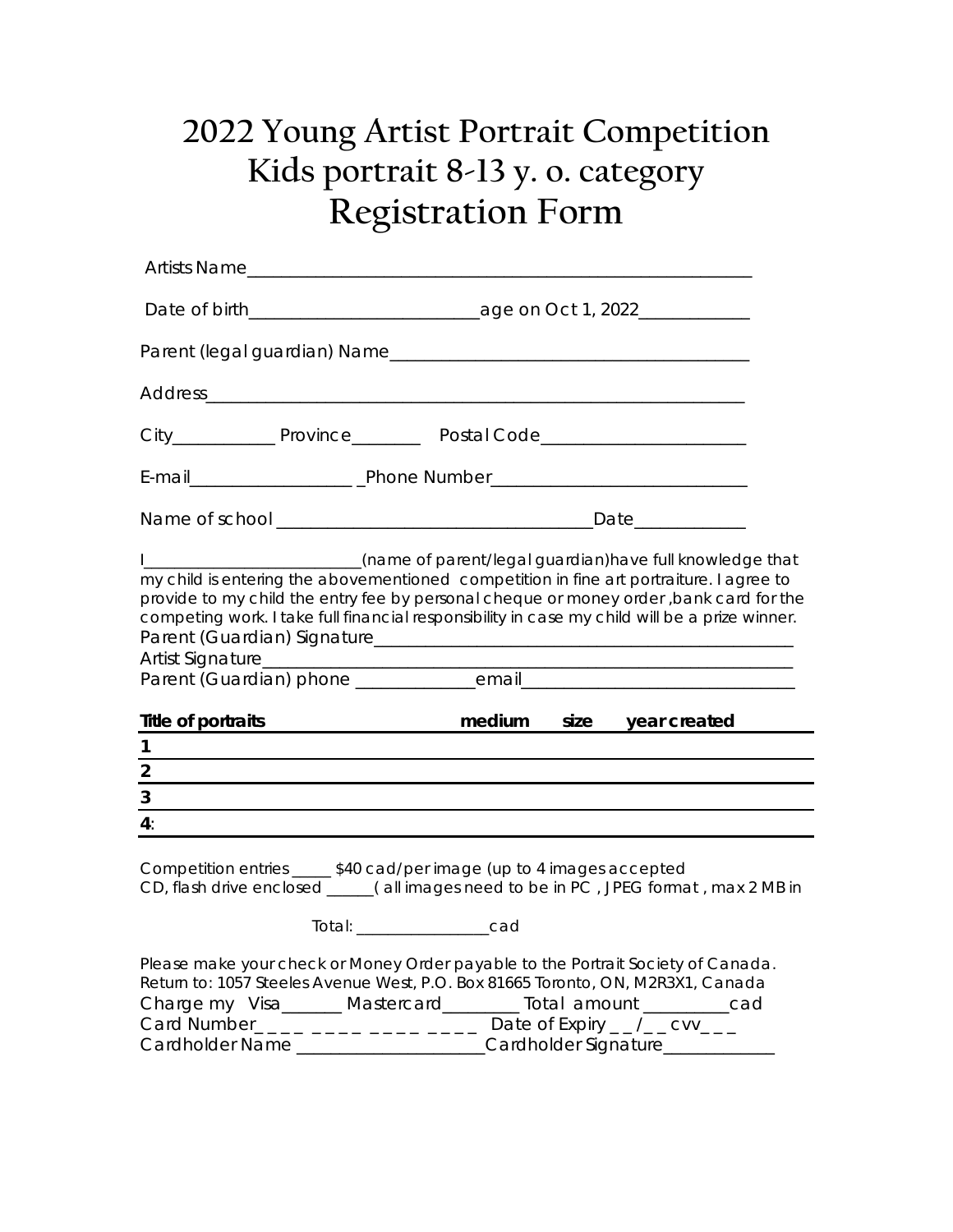# **2022 Young Artist Portrait Competition Kids portrait 8-13 y. o. category Registration Form**

| Artists Name            |                                                                                                                                                                                                                                                                                                                                                                                                                                |
|-------------------------|--------------------------------------------------------------------------------------------------------------------------------------------------------------------------------------------------------------------------------------------------------------------------------------------------------------------------------------------------------------------------------------------------------------------------------|
|                         |                                                                                                                                                                                                                                                                                                                                                                                                                                |
|                         |                                                                                                                                                                                                                                                                                                                                                                                                                                |
|                         |                                                                                                                                                                                                                                                                                                                                                                                                                                |
|                         | City_______________ Province___________ Postal Code_____________________________                                                                                                                                                                                                                                                                                                                                               |
|                         |                                                                                                                                                                                                                                                                                                                                                                                                                                |
|                         |                                                                                                                                                                                                                                                                                                                                                                                                                                |
|                         | I________________________(name of parent/legal guardian)have full knowledge that<br>my child is entering the abovementioned competition in fine art portraiture. I agree to<br>provide to my child the entry fee by personal cheque or money order, bank card for the<br>competing work. I take full financial responsibility in case my child will be a prize winner.                                                         |
|                         |                                                                                                                                                                                                                                                                                                                                                                                                                                |
| Title of portraits<br>1 | medium size year created                                                                                                                                                                                                                                                                                                                                                                                                       |
| $\overline{2}$          |                                                                                                                                                                                                                                                                                                                                                                                                                                |
| 3                       |                                                                                                                                                                                                                                                                                                                                                                                                                                |
| 4:                      |                                                                                                                                                                                                                                                                                                                                                                                                                                |
|                         | Competition entries _____ \$40 cad/per image (up to 4 images accepted<br>CD, flash drive enclosed _____(all images need to be in PC, JPEG format, max 2 MB in<br>Total: ______________cad                                                                                                                                                                                                                                      |
|                         |                                                                                                                                                                                                                                                                                                                                                                                                                                |
|                         | Please make your check or Money Order payable to the Portrait Society of Canada.<br>Return to: 1057 Steeles Avenue West, P.O. Box 81665 Toronto, ON, M2R3X1, Canada<br>Charge my Visa______ Mastercard_______ Total amount ________cad<br>Card Number <sub>-----</sub> ------------ Date of Expiry <sub>--</sub> / <sub>--</sub> CVV <sub>---</sub><br>Cardholder Name _____________________Cardholder Signature______________ |